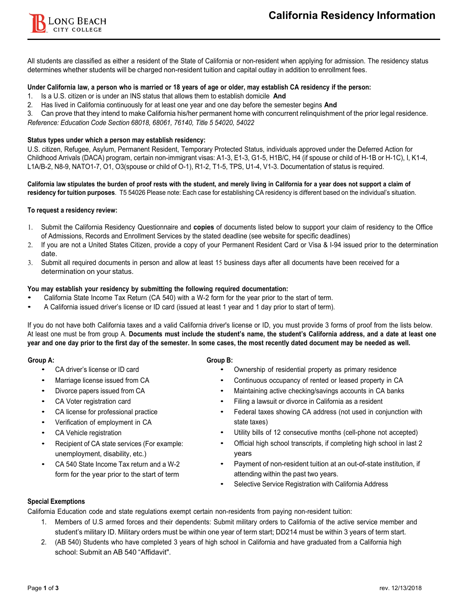

All students are classified as either a resident of the State of California or non-resident when applying for admission. The residency status determines whether students will be charged non-resident tuition and capital outlay in addition to enrollment fees.

# Under California law, a person who is married or 18 years of age or older, may establish CA residency if the person:

- 1. Is a U.S. citizen or is under an INS status that allows them to establish domicile **And**
- 2. Has lived in California continuously for at least one year and one day before the semester begins **And**

3. Can prove that they intend to make California his/her permanent home with concurrent relinquishment of the prior legal residence. *Reference: Education Code Section 68018, 68061, 76140, Title 5 54020, 54022*

## **Status types under which a person may establish residency:**

U.S. citizen, Refugee, Asylum, Permanent Resident, Temporary Protected Status, individuals approved under the Deferred Action for Childhood Arrivals (DACA) program, certain non-immigrant visas: A1-3, E1-3, G1-5, H1B/C, H4 (if spouse or child of H-1B or H-1C), I, K1-4, L1A/B-2, N8-9, NATO1-7, O1, O3(spouse or child of O-1), R1-2, T1-5, TPS, U1-4, V1-3. Documentation of status is required.

California law stipulates the burden of proof rests with the student, and merely living in California for a year does not support a claim of **residency for tuition purposes**. T5 54026 Please note: Each case for establishing CA residency is different based on the individual's situation.

### **To request a residency review:**

- 1. Submit the California Residency Questionnaire and **copies** of documents listed below to support your claim of residency to the Office of Admissions, Records and Enrollment Services by the stated deadline (see website for specific deadlines)
- 2. If you are not a United States Citizen, provide a copy of your Permanent Resident Card or Visa & I-94 issued prior to the determination date.
- 3. Submit all required documents in person and allow at least 15 business days after all documents have been received for a determination on your status.

### **You may establish your residency by submitting the following required documentation:**

- California State Income Tax Return (CA 540) with a W-2 form for the year prior to the start of term.
- A California issued driver's license or ID card (issued at least 1 year and 1 day prior to start of term).

If you do not have both California taxes and a valid California driver's license or ID, you must provide 3 forms of proof from the lists below. At least one must be from group A. Documents must include the student's name, the student's California address, and a date at least one year and one day prior to the first day of the semester. In some cases, the most recently dated document may be needed as well.

- 
- 
- 
- 
- 
- Verification of employment in CA
- CA Vehicle registration **•**
- unemployment, disability, etc.)
- CA 540 State Income Tax return and a W-2 form for the year prior to the start of term

### **Group A: Group B:**

- CA driver's license or ID card Ownership of residential property as primary residence
- Marriage license issued from CA Continuous occupancy of rented or leased property in CA
- Divorce papers issued from CA Maintaining active checking/savings accounts in CA banks
- CA Voter registration card Filing a lawsuit or divorce in California as a resident
- CA license for professional practice Federal taxes showing CA address (not used in conjunction with state taxes)
	- Utility bills of 12 consecutive months (cell-phone not accepted)
- Recipient of CA state services (For example: Official high school transcripts, if completing high school in last <sup>2</sup> years
	- Payment of non-resident tuition at an out-of-state institution, if attending within the past two years.
	- Selective Service Registration with California Address

# **Special Exemptions**

California Education code and state regulations exempt certain non-residents from paying non-resident tuition:

- 1. Members of U.S armed forces and their dependents: Submit military orders to California of the active service member and student's military ID. Military orders must be within one year of term start; DD214 must be within 3 years of term start.
- 2. (AB 540) Students who have completed 3 years of high school in California and have graduated from a California high school: Submit an AB 540 "Affidavit".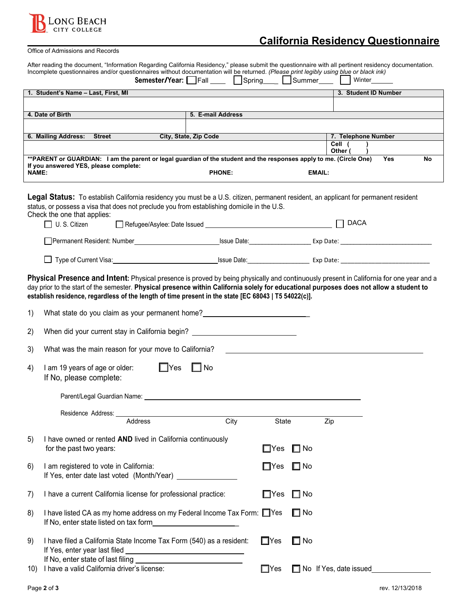

# **California Residency Questionnaire**

| Office of Admissions and Records                                                                                                                                                                                                                                                                                                                                                           |                                                                                                                                                                                                                               |  |                                              |      |                      |                                          |                      |            |    |
|--------------------------------------------------------------------------------------------------------------------------------------------------------------------------------------------------------------------------------------------------------------------------------------------------------------------------------------------------------------------------------------------|-------------------------------------------------------------------------------------------------------------------------------------------------------------------------------------------------------------------------------|--|----------------------------------------------|------|----------------------|------------------------------------------|----------------------|------------|----|
| After reading the document, "Information Regarding California Residency," please submit the questionnaire with all pertinent residency documentation.<br>Incomplete questionnaires and/or questionnaires without documentation will be returned. (Please print legibly using blue or black ink)                                                                                            |                                                                                                                                                                                                                               |  |                                              |      |                      |                                          |                      |            |    |
|                                                                                                                                                                                                                                                                                                                                                                                            |                                                                                                                                                                                                                               |  |                                              |      |                      | <b>Semester/Year:</b> Fall Spring Summer | Winter               |            |    |
|                                                                                                                                                                                                                                                                                                                                                                                            | 1. Student's Name - Last, First, MI                                                                                                                                                                                           |  |                                              |      |                      |                                          | 3. Student ID Number |            |    |
|                                                                                                                                                                                                                                                                                                                                                                                            |                                                                                                                                                                                                                               |  |                                              |      |                      |                                          |                      |            |    |
|                                                                                                                                                                                                                                                                                                                                                                                            | 4. Date of Birth                                                                                                                                                                                                              |  | 5. E-mail Address                            |      |                      |                                          |                      |            |    |
|                                                                                                                                                                                                                                                                                                                                                                                            |                                                                                                                                                                                                                               |  |                                              |      |                      |                                          |                      |            |    |
|                                                                                                                                                                                                                                                                                                                                                                                            | 6. Mailing Address: Street                                                                                                                                                                                                    |  | City, State, Zip Code                        |      |                      |                                          | 7. Telephone Number  |            |    |
|                                                                                                                                                                                                                                                                                                                                                                                            |                                                                                                                                                                                                                               |  |                                              |      |                      |                                          | Cell (<br>Other (    |            |    |
|                                                                                                                                                                                                                                                                                                                                                                                            | ** PARENT or GUARDIAN: I am the parent or legal guardian of the student and the responses apply to me. (Circle One)                                                                                                           |  |                                              |      |                      |                                          |                      | <b>Yes</b> | No |
| <b>NAME:</b>                                                                                                                                                                                                                                                                                                                                                                               | If you answered YES, please complete:                                                                                                                                                                                         |  | <b>PHONE:</b>                                |      |                      | <b>EMAIL:</b>                            |                      |            |    |
| Legal Status: To establish California residency you must be a U.S. citizen, permanent resident, an applicant for permanent resident<br>status, or possess a visa that does not preclude you from establishing domicile in the U.S.<br>Check the one that applies:<br>$\Box$ DACA<br>$\Box$ U.S. Citizen                                                                                    |                                                                                                                                                                                                                               |  |                                              |      |                      |                                          |                      |            |    |
|                                                                                                                                                                                                                                                                                                                                                                                            |                                                                                                                                                                                                                               |  |                                              |      |                      |                                          |                      |            |    |
|                                                                                                                                                                                                                                                                                                                                                                                            |                                                                                                                                                                                                                               |  |                                              |      |                      |                                          |                      |            |    |
| Physical Presence and Intent: Physical presence is proved by being physically and continuously present in California for one year and a<br>day prior to the start of the semester. Physical presence within California solely for educational purposes does not allow a student to<br>establish residence, regardless of the length of time present in the state [EC 68043   T5 54022(c)]. |                                                                                                                                                                                                                               |  |                                              |      |                      |                                          |                      |            |    |
| 1)                                                                                                                                                                                                                                                                                                                                                                                         | What state do you claim as your permanent home?                                                                                                                                                                               |  |                                              |      |                      |                                          |                      |            |    |
| 2)                                                                                                                                                                                                                                                                                                                                                                                         | When did your current stay in California begin? ________________________________                                                                                                                                              |  |                                              |      |                      |                                          |                      |            |    |
| 3)                                                                                                                                                                                                                                                                                                                                                                                         | What was the main reason for your move to California?                                                                                                                                                                         |  |                                              |      |                      |                                          |                      |            |    |
| 4)                                                                                                                                                                                                                                                                                                                                                                                         | $\square$ No<br>I am 19 years of age or older:<br>$\Box$ Yes<br>If No, please complete:                                                                                                                                       |  |                                              |      |                      |                                          |                      |            |    |
|                                                                                                                                                                                                                                                                                                                                                                                            | Parent/Legal Guardian Name: Department of the Contract of the Contract of the Contract of the Contract of the Contract of the Contract of the Contract of the Contract of the Contract of the Contract of the Contract of the |  |                                              |      |                      |                                          |                      |            |    |
|                                                                                                                                                                                                                                                                                                                                                                                            | Residence Address:                                                                                                                                                                                                            |  |                                              |      |                      |                                          |                      |            |    |
|                                                                                                                                                                                                                                                                                                                                                                                            | <b>Address</b>                                                                                                                                                                                                                |  |                                              | City | State                |                                          | Zip                  |            |    |
| 5)                                                                                                                                                                                                                                                                                                                                                                                         | I have owned or rented AND lived in California continuously<br>for the past two years:                                                                                                                                        |  |                                              |      | $\Box$ Yes           | $\square$ No                             |                      |            |    |
| 6)                                                                                                                                                                                                                                                                                                                                                                                         | I am registered to vote in California:                                                                                                                                                                                        |  |                                              |      | $\Box$ Yes $\Box$ No |                                          |                      |            |    |
| 7)                                                                                                                                                                                                                                                                                                                                                                                         | I have a current California license for professional practice:                                                                                                                                                                |  |                                              |      | $\square$ Yes        | $\Box$ No                                |                      |            |    |
| 8)                                                                                                                                                                                                                                                                                                                                                                                         | I have listed CA as my home address on my Federal Income Tax Form: Ves<br>If No, enter state listed on tax form                                                                                                               |  | <u> 1989 - Johann Barbara, martxa a</u>      |      |                      | $\Box$ No                                |                      |            |    |
| 9)                                                                                                                                                                                                                                                                                                                                                                                         | I have filed a California State Income Tax Form (540) as a resident:<br>If Yes, enter year last filed                                                                                                                         |  | <u> 1989 - Johann Barn, fransk politik (</u> |      | $\Box$ Yes           | $\square$ No                             |                      |            |    |
|                                                                                                                                                                                                                                                                                                                                                                                            |                                                                                                                                                                                                                               |  |                                              |      |                      |                                          |                      |            |    |

10) I have a valid California driver's license:

Yes **I** No If Yes, date issued